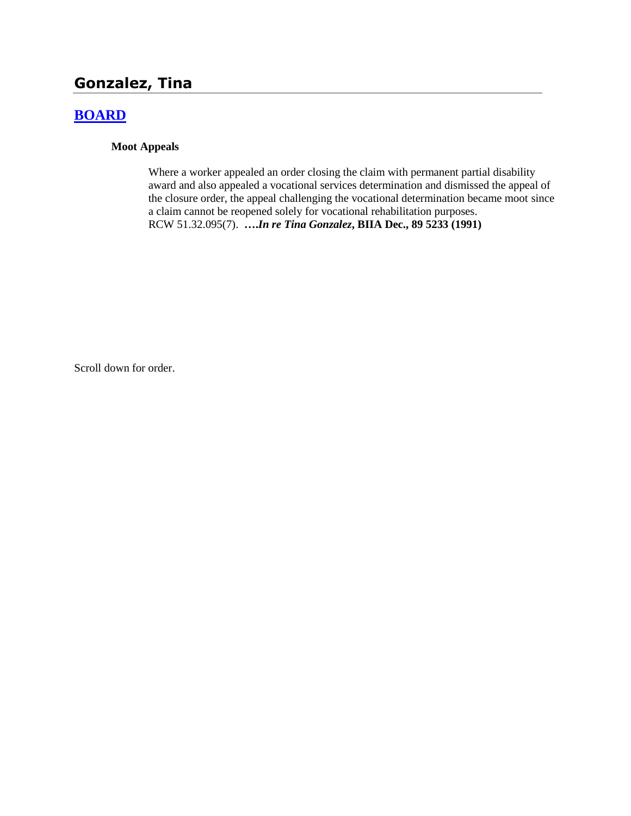# **Gonzalez, Tina**

## **[BOARD](http://www.biia.wa.gov/SDSubjectIndex.html#BOARD)**

### **Moot Appeals**

Where a worker appealed an order closing the claim with permanent partial disability award and also appealed a vocational services determination and dismissed the appeal of the closure order, the appeal challenging the vocational determination became moot since a claim cannot be reopened solely for vocational rehabilitation purposes. RCW 51.32.095(7). **….***In re Tina Gonzalez***, BIIA Dec., 89 5233 (1991)**

Scroll down for order.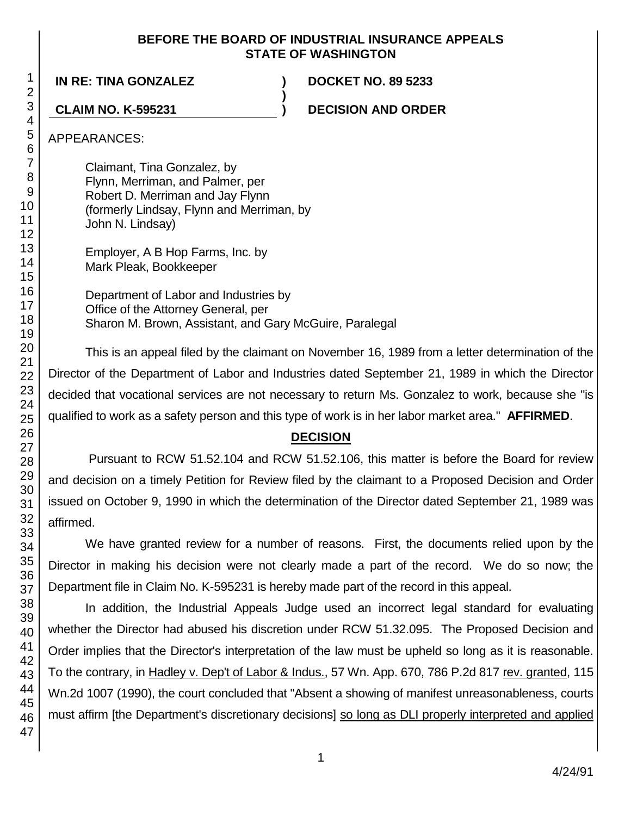### **BEFORE THE BOARD OF INDUSTRIAL INSURANCE APPEALS STATE OF WASHINGTON**

**)**

**IN RE: TINA GONZALEZ ) DOCKET NO. 89 5233**

**CLAIM NO. K-595231 ) DECISION AND ORDER**

APPEARANCES:

Claimant, Tina Gonzalez, by Flynn, Merriman, and Palmer, per Robert D. Merriman and Jay Flynn (formerly Lindsay, Flynn and Merriman, by John N. Lindsay)

Employer, A B Hop Farms, Inc. by Mark Pleak, Bookkeeper

Department of Labor and Industries by Office of the Attorney General, per Sharon M. Brown, Assistant, and Gary McGuire, Paralegal

This is an appeal filed by the claimant on November 16, 1989 from a letter determination of the Director of the Department of Labor and Industries dated September 21, 1989 in which the Director decided that vocational services are not necessary to return Ms. Gonzalez to work, because she "is qualified to work as a safety person and this type of work is in her labor market area." **AFFIRMED**.

## **DECISION**

Pursuant to RCW 51.52.104 and RCW 51.52.106, this matter is before the Board for review and decision on a timely Petition for Review filed by the claimant to a Proposed Decision and Order issued on October 9, 1990 in which the determination of the Director dated September 21, 1989 was affirmed.

We have granted review for a number of reasons. First, the documents relied upon by the Director in making his decision were not clearly made a part of the record. We do so now; the Department file in Claim No. K-595231 is hereby made part of the record in this appeal.

In addition, the Industrial Appeals Judge used an incorrect legal standard for evaluating whether the Director had abused his discretion under RCW 51.32.095. The Proposed Decision and Order implies that the Director's interpretation of the law must be upheld so long as it is reasonable. To the contrary, in Hadley v. Dep't of Labor & Indus., 57 Wn. App. 670, 786 P.2d 817 rev. granted, 115 Wn.2d 1007 (1990), the court concluded that "Absent a showing of manifest unreasonableness, courts must affirm [the Department's discretionary decisions] so long as DLI properly interpreted and applied

1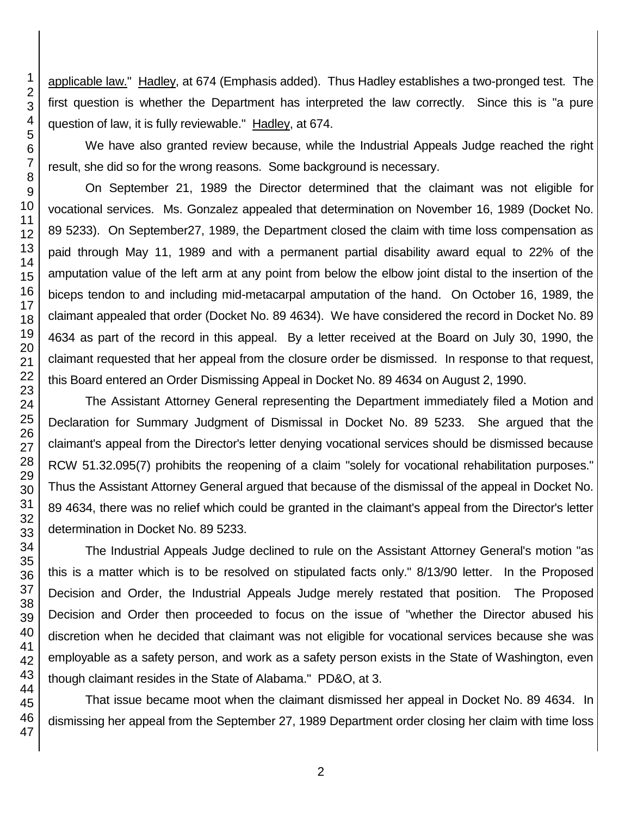applicable law." Hadley, at 674 (Emphasis added). Thus Hadley establishes a two-pronged test. The first question is whether the Department has interpreted the law correctly. Since this is "a pure question of law, it is fully reviewable." Hadley, at 674.

We have also granted review because, while the Industrial Appeals Judge reached the right result, she did so for the wrong reasons. Some background is necessary.

On September 21, 1989 the Director determined that the claimant was not eligible for vocational services. Ms. Gonzalez appealed that determination on November 16, 1989 (Docket No. 89 5233). On September27, 1989, the Department closed the claim with time loss compensation as paid through May 11, 1989 and with a permanent partial disability award equal to 22% of the amputation value of the left arm at any point from below the elbow joint distal to the insertion of the biceps tendon to and including mid-metacarpal amputation of the hand. On October 16, 1989, the claimant appealed that order (Docket No. 89 4634). We have considered the record in Docket No. 89 4634 as part of the record in this appeal. By a letter received at the Board on July 30, 1990, the claimant requested that her appeal from the closure order be dismissed. In response to that request, this Board entered an Order Dismissing Appeal in Docket No. 89 4634 on August 2, 1990.

The Assistant Attorney General representing the Department immediately filed a Motion and Declaration for Summary Judgment of Dismissal in Docket No. 89 5233. She argued that the claimant's appeal from the Director's letter denying vocational services should be dismissed because RCW 51.32.095(7) prohibits the reopening of a claim "solely for vocational rehabilitation purposes." Thus the Assistant Attorney General argued that because of the dismissal of the appeal in Docket No. 89 4634, there was no relief which could be granted in the claimant's appeal from the Director's letter determination in Docket No. 89 5233.

The Industrial Appeals Judge declined to rule on the Assistant Attorney General's motion "as this is a matter which is to be resolved on stipulated facts only." 8/13/90 letter. In the Proposed Decision and Order, the Industrial Appeals Judge merely restated that position. The Proposed Decision and Order then proceeded to focus on the issue of "whether the Director abused his discretion when he decided that claimant was not eligible for vocational services because she was employable as a safety person, and work as a safety person exists in the State of Washington, even though claimant resides in the State of Alabama." PD&O, at 3.

That issue became moot when the claimant dismissed her appeal in Docket No. 89 4634. In dismissing her appeal from the September 27, 1989 Department order closing her claim with time loss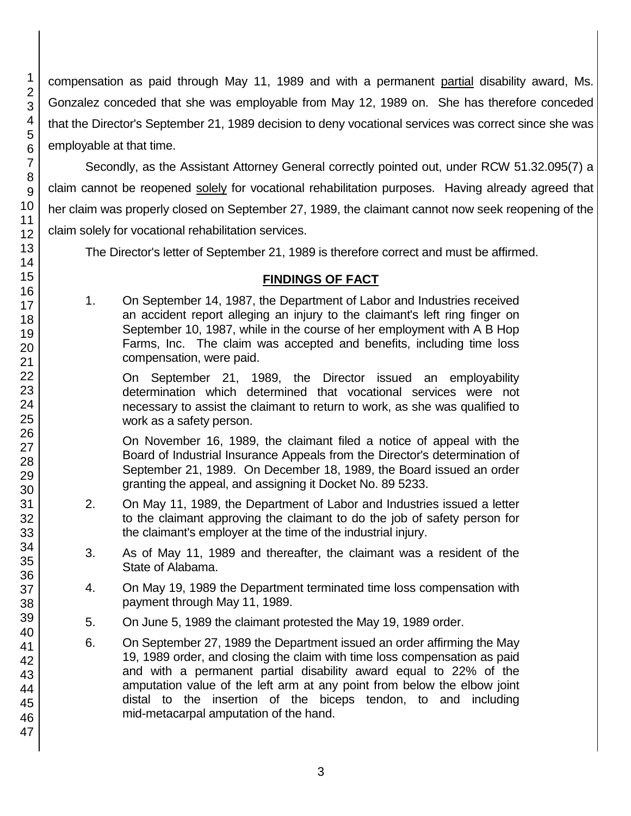compensation as paid through May 11, 1989 and with a permanent partial disability award, Ms. Gonzalez conceded that she was employable from May 12, 1989 on. She has therefore conceded that the Director's September 21, 1989 decision to deny vocational services was correct since she was employable at that time.

Secondly, as the Assistant Attorney General correctly pointed out, under RCW 51.32.095(7) a claim cannot be reopened solely for vocational rehabilitation purposes. Having already agreed that her claim was properly closed on September 27, 1989, the claimant cannot now seek reopening of the claim solely for vocational rehabilitation services.

The Director's letter of September 21, 1989 is therefore correct and must be affirmed.

## **FINDINGS OF FACT**

1. On September 14, 1987, the Department of Labor and Industries received an accident report alleging an injury to the claimant's left ring finger on September 10, 1987, while in the course of her employment with A B Hop Farms, Inc. The claim was accepted and benefits, including time loss compensation, were paid.

On September 21, 1989, the Director issued an employability determination which determined that vocational services were not necessary to assist the claimant to return to work, as she was qualified to work as a safety person.

On November 16, 1989, the claimant filed a notice of appeal with the Board of Industrial Insurance Appeals from the Director's determination of September 21, 1989. On December 18, 1989, the Board issued an order granting the appeal, and assigning it Docket No. 89 5233.

- 2. On May 11, 1989, the Department of Labor and Industries issued a letter to the claimant approving the claimant to do the job of safety person for the claimant's employer at the time of the industrial injury.
- 3. As of May 11, 1989 and thereafter, the claimant was a resident of the State of Alabama.
- 4. On May 19, 1989 the Department terminated time loss compensation with payment through May 11, 1989.
- 5. On June 5, 1989 the claimant protested the May 19, 1989 order.
- 6. On September 27, 1989 the Department issued an order affirming the May 19, 1989 order, and closing the claim with time loss compensation as paid and with a permanent partial disability award equal to 22% of the amputation value of the left arm at any point from below the elbow joint distal to the insertion of the biceps tendon, to and including mid-metacarpal amputation of the hand.